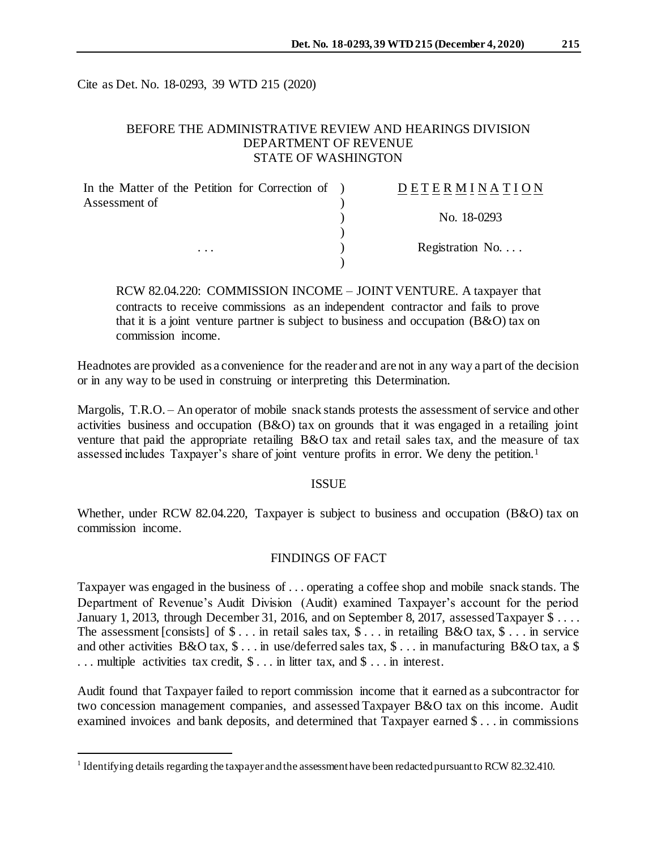Cite as Det. No. 18-0293, 39 WTD 215 (2020)

## BEFORE THE ADMINISTRATIVE REVIEW AND HEARINGS DIVISION DEPARTMENT OF REVENUE STATE OF WASHINGTON

| In the Matter of the Petition for Correction of ) | DETERMINATION            |
|---------------------------------------------------|--------------------------|
| Assessment of                                     |                          |
|                                                   | No. 18-0293              |
|                                                   |                          |
| $\cdots$                                          | Registration No. $\dots$ |
|                                                   |                          |

RCW 82.04.220: COMMISSION INCOME – JOINT VENTURE. A taxpayer that contracts to receive commissions as an independent contractor and fails to prove that it is a joint venture partner is subject to business and occupation (B&O) tax on commission income.

Headnotes are provided as a convenience for the reader and are not in any way a part of the decision or in any way to be used in construing or interpreting this Determination.

Margolis, T.R.O. – An operator of mobile snack stands protests the assessment of service and other activities business and occupation (B&O) tax on grounds that it was engaged in a retailing joint venture that paid the appropriate retailing B&O tax and retail sales tax, and the measure of tax assessed includes Taxpayer's share of joint venture profits in error. We deny the petition.<sup>1</sup>

#### ISSUE

Whether, under RCW 82.04.220, Taxpayer is subject to business and occupation (B&O) tax on commission income.

## FINDINGS OF FACT

Taxpayer was engaged in the business of . . . operating a coffee shop and mobile snack stands. The Department of Revenue's Audit Division (Audit) examined Taxpayer's account for the period January 1, 2013, through December 31, 2016, and on September 8, 2017, assessed Taxpayer  $\frac{1}{3}$ ... The assessment [consists] of  $\$\dots$  in retail sales tax,  $\$\dots$  in retailing B&O tax,  $\$\dots$  in service and other activities B&O tax, \$ . . . in use/deferred sales tax, \$ . . . in manufacturing B&O tax, a \$ . . . multiple activities tax credit, \$ . . . in litter tax, and \$ . . . in interest.

Audit found that Taxpayer failed to report commission income that it earned as a subcontractor for two concession management companies, and assessed Taxpayer B&O tax on this income. Audit examined invoices and bank deposits, and determined that Taxpayer earned \$ . . . in commissions

l

<sup>&</sup>lt;sup>1</sup> Identifying details regarding the taxpayer and the assessment have been redacted pursuant to RCW 82.32.410.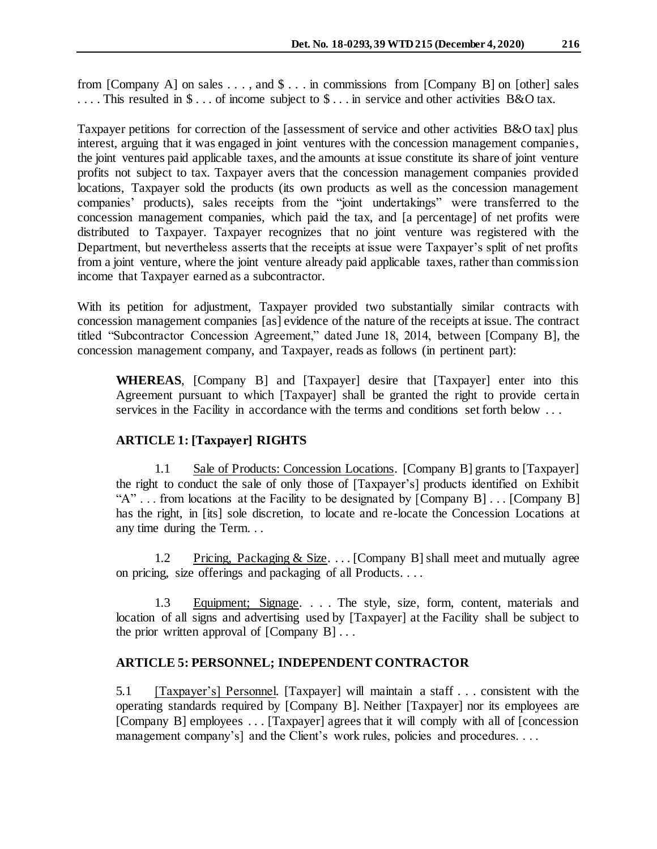from [Company A] on sales  $\dots$ , and  $\text{\$}\dots$  in commissions from [Company B] on [other] sales . . . . This resulted in \$ . . . of income subject to \$ . . . in service and other activities B&O tax.

Taxpayer petitions for correction of the [assessment of service and other activities B&O tax] plus interest, arguing that it was engaged in joint ventures with the concession management companies, the joint ventures paid applicable taxes, and the amounts at issue constitute its share of joint venture profits not subject to tax. Taxpayer avers that the concession management companies provided locations, Taxpayer sold the products (its own products as well as the concession management companies' products), sales receipts from the "joint undertakings" were transferred to the concession management companies, which paid the tax, and [a percentage] of net profits were distributed to Taxpayer. Taxpayer recognizes that no joint venture was registered with the Department, but nevertheless asserts that the receipts at issue were Taxpayer's split of net profits from a joint venture, where the joint venture already paid applicable taxes, rather than commission income that Taxpayer earned as a subcontractor.

With its petition for adjustment, Taxpayer provided two substantially similar contracts with concession management companies [as] evidence of the nature of the receipts at issue. The contract titled "Subcontractor Concession Agreement," dated June 18, 2014, between [Company B], the concession management company, and Taxpayer, reads as follows (in pertinent part):

**WHEREAS**, [Company B] and [Taxpayer] desire that [Taxpayer] enter into this Agreement pursuant to which [Taxpayer] shall be granted the right to provide certain services in the Facility in accordance with the terms and conditions set forth below ...

# **ARTICLE 1: [Taxpayer] RIGHTS**

1.1 Sale of Products: Concession Locations. [Company B] grants to [Taxpayer] the right to conduct the sale of only those of [Taxpayer's] products identified on Exhibit "A" . . . from locations at the Facility to be designated by [Company B] . . . [Company B] has the right, in [its] sole discretion, to locate and re-locate the Concession Locations at any time during the Term. . .

1.2 Pricing, Packaging & Size. . . . [Company B] shall meet and mutually agree on pricing, size offerings and packaging of all Products. . . .

1.3 Equipment; Signage. . . . The style, size, form, content, materials and location of all signs and advertising used by [Taxpayer] at the Facility shall be subject to the prior written approval of  $[Company B] \dots$ 

# **ARTICLE 5: PERSONNEL; INDEPENDENT CONTRACTOR**

5.1 [Taxpayer's] Personnel. [Taxpayer] will maintain a staff . . . consistent with the operating standards required by [Company B]. Neither [Taxpayer] nor its employees are [Company B] employees . . . [Taxpayer] agrees that it will comply with all of [concession management company's] and the Client's work rules, policies and procedures. . . .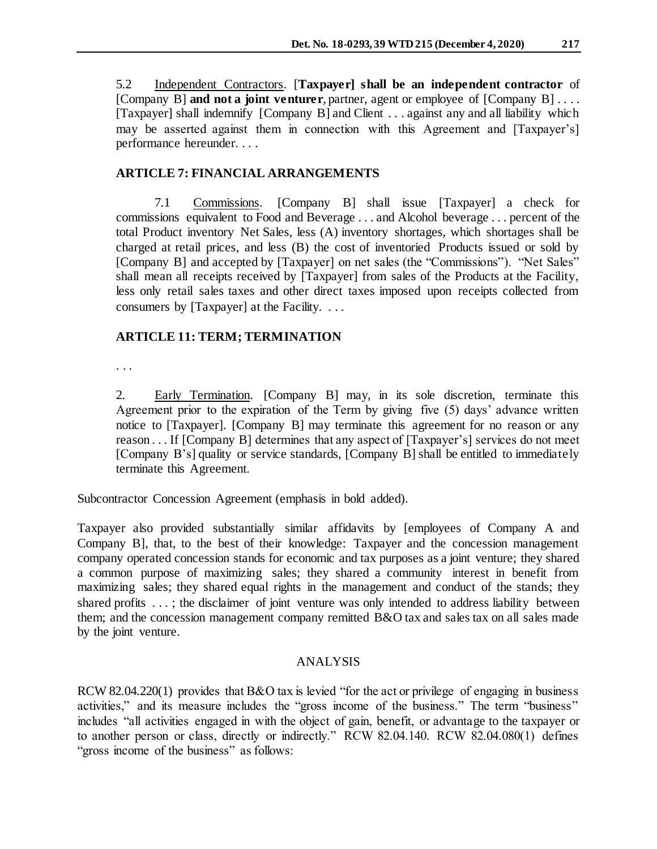5.2 Independent Contractors. [**Taxpayer] shall be an independent contractor** of [Company B] **and not a joint venturer**, partner, agent or employee of [Company B] . . . . [Taxpayer] shall indemnify [Company B] and Client . . . against any and all liability which may be asserted against them in connection with this Agreement and [Taxpayer's] performance hereunder. . . .

## **ARTICLE 7: FINANCIAL ARRANGEMENTS**

7.1 Commissions. [Company B] shall issue [Taxpayer] a check for commissions equivalent to Food and Beverage . . . and Alcohol beverage . . . percent of the total Product inventory Net Sales, less (A) inventory shortages, which shortages shall be charged at retail prices, and less (B) the cost of inventoried Products issued or sold by [Company B] and accepted by [Taxpayer] on net sales (the "Commissions"). "Net Sales" shall mean all receipts received by [Taxpayer] from sales of the Products at the Facility, less only retail sales taxes and other direct taxes imposed upon receipts collected from consumers by [Taxpayer] at the Facility. . . .

## **ARTICLE 11: TERM; TERMINATION**

. . .

2. Early Termination. [Company B] may, in its sole discretion, terminate this Agreement prior to the expiration of the Term by giving five (5) days' advance written notice to [Taxpayer]. [Company B] may terminate this agreement for no reason or any reason . . . If [Company B] determines that any aspect of [Taxpayer's] services do not meet [Company B's] quality or service standards, [Company B] shall be entitled to immediately terminate this Agreement.

Subcontractor Concession Agreement (emphasis in bold added).

Taxpayer also provided substantially similar affidavits by [employees of Company A and Company B], that, to the best of their knowledge: Taxpayer and the concession management company operated concession stands for economic and tax purposes as a joint venture; they shared a common purpose of maximizing sales; they shared a community interest in benefit from maximizing sales; they shared equal rights in the management and conduct of the stands; they shared profits . . . ; the disclaimer of joint venture was only intended to address liability between them; and the concession management company remitted B&O tax and sales tax on all sales made by the joint venture.

## ANALYSIS

RCW 82.04.220(1) provides that B&O tax is levied "for the act or privilege of engaging in business" activities," and its measure includes the "gross income of the business." The term "business" includes "all activities engaged in with the object of gain, benefit, or advantage to the taxpayer or to another person or class, directly or indirectly." RCW 82.04.140. RCW 82.04.080(1) defines "gross income of the business" as follows: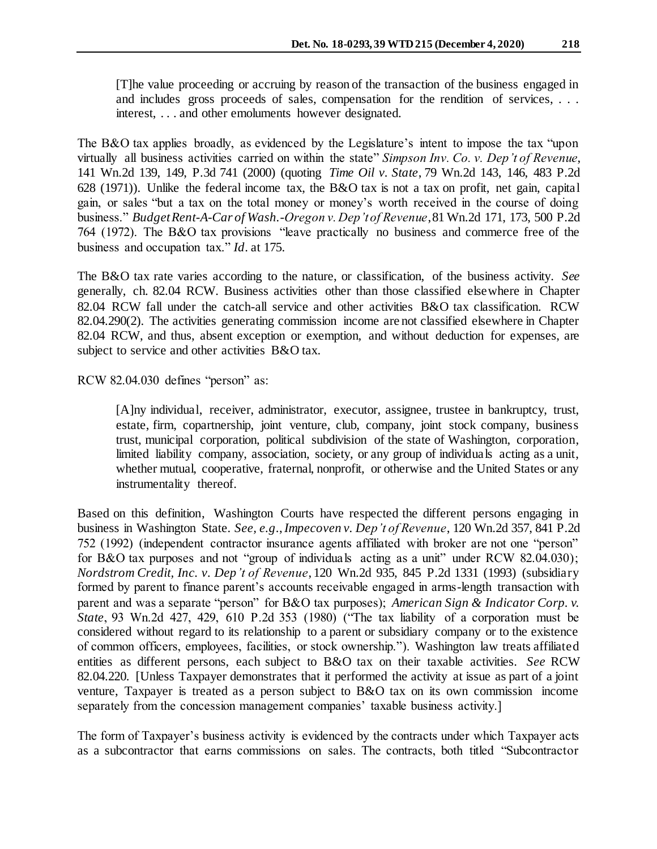[T]he value proceeding or accruing by reason of the transaction of the business engaged in and includes gross proceeds of sales, compensation for the rendition of services, . . . interest, . . . and other emoluments however designated.

The B&O tax applies broadly, as evidenced by the Legislature's intent to impose the tax "upon virtually all business activities carried on within the state" *Simpson Inv. Co. v. Dep't of Revenue*, 141 Wn.2d 139, 149, P.3d 741 (2000) (quoting *Time Oil v. State*, 79 Wn.2d 143, 146, 483 P.2d 628 (1971)). Unlike the federal income tax, the B&O tax is not a tax on profit, net gain, capital gain, or sales "but a tax on the total money or money's worth received in the course of doing business." *Budget Rent-A-Car of Wash.-Oregon v. Dep't of Revenue*, 81 Wn.2d 171, 173, 500 P.2d 764 (1972). The B&O tax provisions "leave practically no business and commerce free of the business and occupation tax." *Id*. at 175.

The B&O tax rate varies according to the nature, or classification, of the business activity. *See* generally, ch. 82.04 RCW. Business activities other than those classified elsewhere in Chapter 82.04 RCW fall under the catch-all service and other activities B&O tax classification. RCW 82.04.290(2). The activities generating commission income are not classified elsewhere in Chapter 82.04 RCW, and thus, absent exception or exemption, and without deduction for expenses, are subject to service and other activities B&O tax.

RCW 82.04.030 defines "person" as:

[A]ny individual, receiver, administrator, executor, assignee, trustee in bankruptcy, trust, estate, firm, copartnership, joint venture, club, company, joint stock company, business trust, municipal corporation, political subdivision of the state of Washington, corporation, limited liability company, association, society, or any group of individuals acting as a unit, whether mutual, cooperative, fraternal, nonprofit, or otherwise and the United States or any instrumentality thereof.

Based on this definition, Washington Courts have respected the different persons engaging in business in Washington State. *See, e.g*., *Impecoven v. Dep't of Revenue*, 120 Wn.2d 357, 841 P.2d 752 (1992) (independent contractor insurance agents affiliated with broker are not one "person" for B&O tax purposes and not "group of individuals acting as a unit" under RCW 82.04.030); *Nordstrom Credit, Inc. v. Dep't of Revenue*, 120 Wn.2d 935, 845 P.2d 1331 (1993) (subsidiary formed by parent to finance parent's accounts receivable engaged in arms-length transaction with parent and was a separate "person" for B&O tax purposes); *American Sign & Indicator Corp. v. State*, 93 Wn.2d 427, 429, 610 P.2d 353 (1980) ("The tax liability of a corporation must be considered without regard to its relationship to a parent or subsidiary company or to the existence of common officers, employees, facilities, or stock ownership."). Washington law treats affiliated entities as different persons, each subject to B&O tax on their taxable activities. *See* RCW 82.04.220. [Unless Taxpayer demonstrates that it performed the activity at issue as part of a joint venture, Taxpayer is treated as a person subject to B&O tax on its own commission income separately from the concession management companies' taxable business activity.]

The form of Taxpayer's business activity is evidenced by the contracts under which Taxpayer acts as a subcontractor that earns commissions on sales. The contracts, both titled "Subcontractor